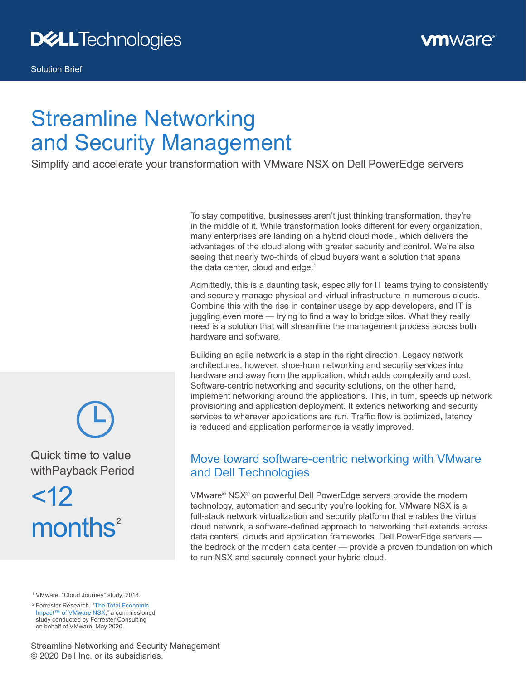

# Streamline Networking and Security Management

Simplify and accelerate your transformation with VMware NSX on Dell PowerEdge servers

To stay competitive, businesses aren't just thinking transformation, they're in the middle of it. While transformation looks different for every organization, many enterprises are landing on a hybrid cloud model, which delivers the advantages of the cloud along with greater security and control. We're also seeing that nearly two-thirds of cloud buyers want a solution that spans the data center, cloud and edge. $1$ 

Admittedly, this is a daunting task, especially for IT teams trying to consistently and securely manage physical and virtual infrastructure in numerous clouds. Combine this with the rise in container usage by app developers, and IT is juggling even more — trying to find a way to bridge silos. What they really need is a solution that will streamline the management process across both hardware and software.

Building an agile network is a step in the right direction. Legacy network architectures, however, shoe‑horn networking and security services into hardware and away from the application, which adds complexity and cost. Software-centric networking and security solutions, on the other hand, implement networking around the applications. This, in turn, speeds up network provisioning and application deployment. It extends networking and security services to wherever applications are run. Traffic flow is optimized, latency is reduced and application performance is vastly improved.

#### Move toward software‑centric networking with VMware and Dell Technologies

VMware® NSX® on powerful Dell PowerEdge servers provide the modern technology, automation and security you're looking for. VMware NSX is a full-stack network virtualization and security platform that enables the virtual cloud network, a software‑defined approach to networking that extends across data centers, clouds and application frameworks. Dell PowerEdge servers the bedrock of the modern data center — provide a proven foundation on which to run NSX and securely connect your hybrid cloud.

<sup>1</sup> VMware, "Cloud Journey" study, 2018.

<sup>2</sup> Forrester Research, "[The Total Economic](https://www.vmware.com/learn/558734_REG.html?cid=7012H0000021UHx&src=af_5ed72bdba9a1c)  [Impact™ of VMware NSX,](https://www.vmware.com/learn/558734_REG.html?cid=7012H0000021UHx&src=af_5ed72bdba9a1c)" a commissioned study conducted by Forrester Consulting on behalf of VMware, May 2020.

Streamline Networking and Security Management © 2020 Dell Inc. or its subsidiaries.

Quick time to value

withPayback Period  $<$ 12

 $months<sup>2</sup>$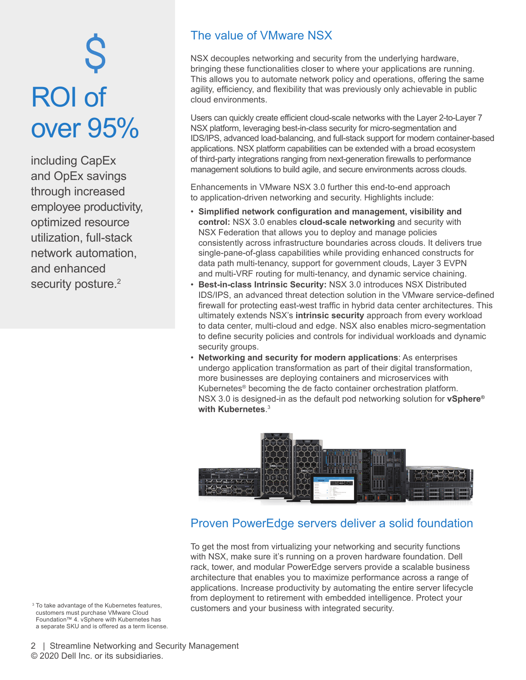# Ş ROI of over 95%

including CapEx and OpEx savings through increased employee productivity, optimized resource utilization, full‑stack network automation, and enhanced security posture.<sup>2</sup>

#### The value of VMware NSX

NSX decouples networking and security from the underlying hardware, bringing these functionalities closer to where your applications are running. This allows you to automate network policy and operations, offering the same agility, efficiency, and flexibility that was previously only achievable in public cloud environments.

Users can quickly create efficient cloud-scale networks with the Layer 2-to-Layer 7 NSX platform, leveraging best-in-class security for micro-segmentation and IDS/IPS, advanced load‑balancing, and full‑stack support for modern container‑based applications. NSX platform capabilities can be extended with a broad ecosystem of third‑party integrations ranging from next‑generation firewalls to performance management solutions to build agile, and secure environments across clouds.

Enhancements in VMware NSX 3.0 further this end-to-end approach to application-driven networking and security. Highlights include:

- **Simplified network configuration and management, visibility and control:** NSX 3.0 enables **cloud‑scale networking** and security with NSX Federation that allows you to deploy and manage policies consistently across infrastructure boundaries across clouds. It delivers true single-pane-of-glass capabilities while providing enhanced constructs for data path multi-tenancy, support for government clouds, Layer 3 EVPN and multi-VRF routing for multi-tenancy, and dynamic service chaining.
- **Best‑in‑class Intrinsic Security:** NSX 3.0 introduces NSX Distributed IDS/IPS, an advanced threat detection solution in the VMware service‑defined firewall for protecting east‑west traffic in hybrid data center architectures. This ultimately extends NSX's **intrinsic security** approach from every workload to data center, multi-cloud and edge. NSX also enables micro-segmentation to define security policies and controls for individual workloads and dynamic security groups.
- **Networking and security for modern applications**: As enterprises undergo application transformation as part of their digital transformation, more businesses are deploying containers and microservices with Kubernetes® becoming the de facto container orchestration platform. NSX 3.0 is designed‑in as the default pod networking solution for **vSphere® with Kubernetes**. 3



#### Proven PowerEdge servers deliver a solid foundation

To get the most from virtualizing your networking and security functions with NSX, make sure it's running on a proven hardware foundation. Dell rack, tower, and modular PowerEdge servers provide a scalable business architecture that enables you to maximize performance across a range of applications. Increase productivity by automating the entire server lifecycle from deployment to retirement with embedded intelligence. Protect your <sup>3</sup> To take advantage of the Kubernetes features,<br>customers and your business with integrated security.

customers must purchase VMware Cloud Foundation™ 4. vSphere with Kubernetes has a separate SKU and is offered as a term license.

2 | Streamline Networking and Security Management © 2020 Dell Inc. or its subsidiaries.